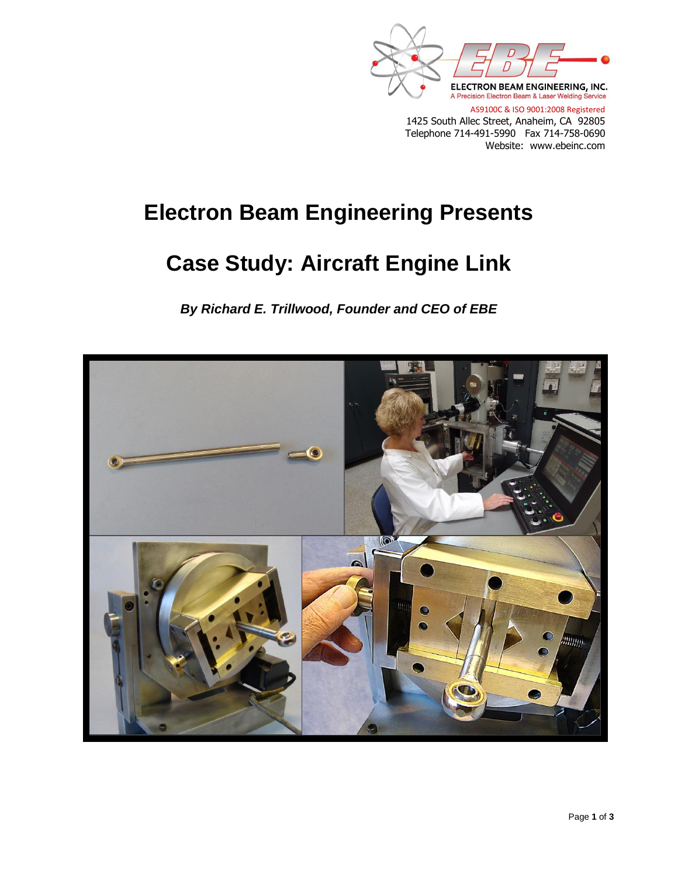

AS9100C & ISO 9001:2008 Registered 1425 South Allec Street, Anaheim, CA 92805 Telephone 714-491-5990 Fax 714-758-0690 Website: www.ebeinc.com

## **Electron Beam Engineering Presents**

## **Case Study: Aircraft Engine Link**

*By Richard E. Trillwood, Founder and CEO of EBE*

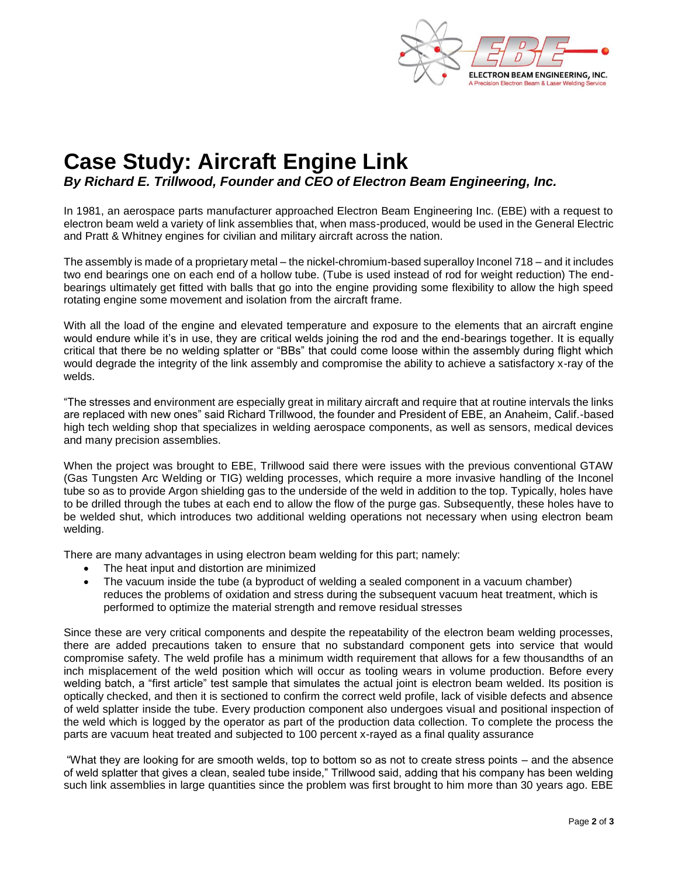

## **Case Study: Aircraft Engine Link** *By Richard E. Trillwood, Founder and CEO of Electron Beam Engineering, Inc.*

In 1981, an aerospace parts manufacturer approached Electron Beam Engineering Inc. (EBE) with a request to electron beam weld a variety of link assemblies that, when mass-produced, would be used in the General Electric and Pratt & Whitney engines for civilian and military aircraft across the nation.

The assembly is made of a proprietary metal – the nickel-chromium-based superalloy Inconel 718 – and it includes two end bearings one on each end of a hollow tube. (Tube is used instead of rod for weight reduction) The endbearings ultimately get fitted with balls that go into the engine providing some flexibility to allow the high speed rotating engine some movement and isolation from the aircraft frame.

With all the load of the engine and elevated temperature and exposure to the elements that an aircraft engine would endure while it's in use, they are critical welds joining the rod and the end-bearings together. It is equally critical that there be no welding splatter or "BBs" that could come loose within the assembly during flight which would degrade the integrity of the link assembly and compromise the ability to achieve a satisfactory x-ray of the welds.

"The stresses and environment are especially great in military aircraft and require that at routine intervals the links are replaced with new ones" said Richard Trillwood, the founder and President of EBE, an Anaheim, Calif.-based high tech welding shop that specializes in welding aerospace components, as well as sensors, medical devices and many precision assemblies.

When the project was brought to EBE, Trillwood said there were issues with the previous conventional GTAW (Gas Tungsten Arc Welding or TIG) welding processes, which require a more invasive handling of the Inconel tube so as to provide Argon shielding gas to the underside of the weld in addition to the top. Typically, holes have to be drilled through the tubes at each end to allow the flow of the purge gas. Subsequently, these holes have to be welded shut, which introduces two additional welding operations not necessary when using electron beam welding.

There are many advantages in using electron beam welding for this part; namely:

- The heat input and distortion are minimized
- The vacuum inside the tube (a byproduct of welding a sealed component in a vacuum chamber) reduces the problems of oxidation and stress during the subsequent vacuum heat treatment, which is performed to optimize the material strength and remove residual stresses

Since these are very critical components and despite the repeatability of the electron beam welding processes, there are added precautions taken to ensure that no substandard component gets into service that would compromise safety. The weld profile has a minimum width requirement that allows for a few thousandths of an inch misplacement of the weld position which will occur as tooling wears in volume production. Before every welding batch, a "first article" test sample that simulates the actual joint is electron beam welded. Its position is optically checked, and then it is sectioned to confirm the correct weld profile, lack of visible defects and absence of weld splatter inside the tube. Every production component also undergoes visual and positional inspection of the weld which is logged by the operator as part of the production data collection. To complete the process the parts are vacuum heat treated and subjected to 100 percent x-rayed as a final quality assurance

"What they are looking for are smooth welds, top to bottom so as not to create stress points – and the absence of weld splatter that gives a clean, sealed tube inside," Trillwood said, adding that his company has been welding such link assemblies in large quantities since the problem was first brought to him more than 30 years ago. EBE